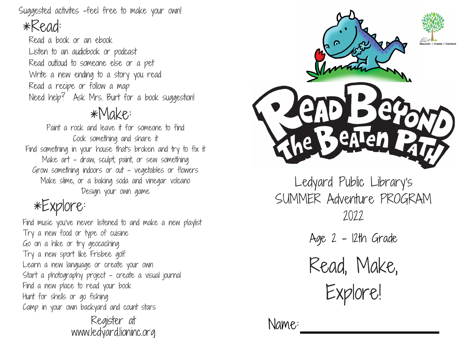Suggested activites -feel free to make your own!

## \*Read:

Read a book or an ebook Listen to an audiobook or podcast Read outloud to someone else or a pet Write a new ending to a story you read Read a recipe or follow a map Need help? Ask Mrs. Burt for a book suggestion!

## \*Make:

Paint a rock and leave it for someone to find Cook something and share it Find something in your house that's broken and try to fix it Make art - draw, sculpt, paint, or sew something Grow something indoors or out - vegetables or flowers Make slime, or a baking soda and vinegar volcano Design your own game

# \*Explore:

Find music you've never listened to and make a new playlist Try a new food or type of cuisine Go on a hike or try geocaching Try a new sport like Frisbee golf Learn a new language or create your own Start a photography project - create a visual journal Find a new place to read your book Hunt for shells or go fishing Camp in your own backyard and count stars

Register at www.ledyard.lioninc.org



Ledyard Public Library's SUMMER Adventure PROGRAM 2022

Age 2 - 12th Grade

Read, Make, Explore!

Name: